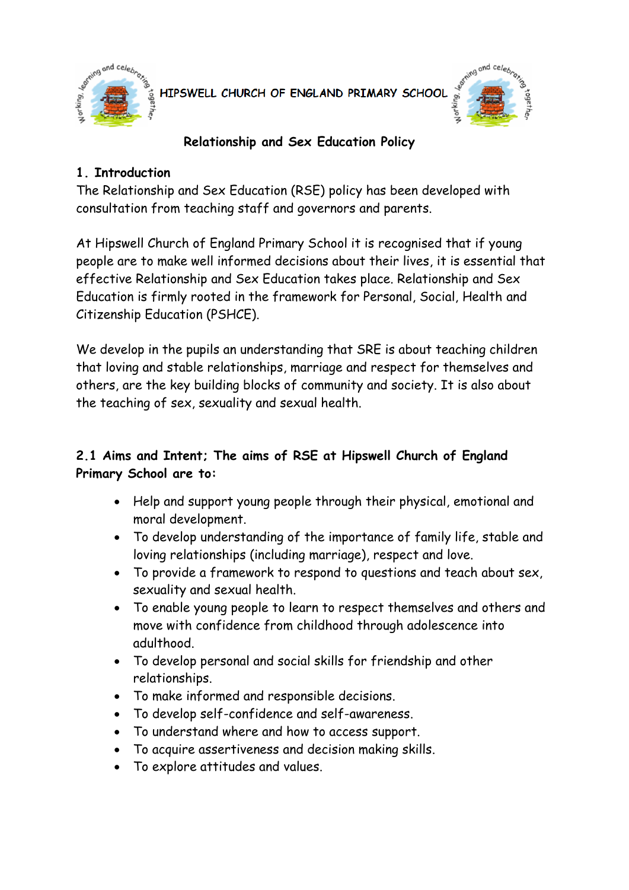

HIPSWELL CHURCH OF ENGLAND PRIMARY SCHOOL



### **Relationship and Sex Education Policy**

### **1. Introduction**

The Relationship and Sex Education (RSE) policy has been developed with consultation from teaching staff and governors and parents.

At Hipswell Church of England Primary School it is recognised that if young people are to make well informed decisions about their lives, it is essential that effective Relationship and Sex Education takes place. Relationship and Sex Education is firmly rooted in the framework for Personal, Social, Health and Citizenship Education (PSHCE).

We develop in the pupils an understanding that SRE is about teaching children that loving and stable relationships, marriage and respect for themselves and others, are the key building blocks of community and society. It is also about the teaching of sex, sexuality and sexual health.

# **2.1 Aims and Intent; The aims of RSE at Hipswell Church of England Primary School are to:**

- Help and support young people through their physical, emotional and moral development.
- To develop understanding of the importance of family life, stable and loving relationships (including marriage), respect and love.
- To provide a framework to respond to questions and teach about sex, sexuality and sexual health.
- To enable young people to learn to respect themselves and others and move with confidence from childhood through adolescence into adulthood.
- To develop personal and social skills for friendship and other relationships.
- To make informed and responsible decisions.
- To develop self-confidence and self-awareness.
- To understand where and how to access support.
- To acquire assertiveness and decision making skills.
- To explore attitudes and values.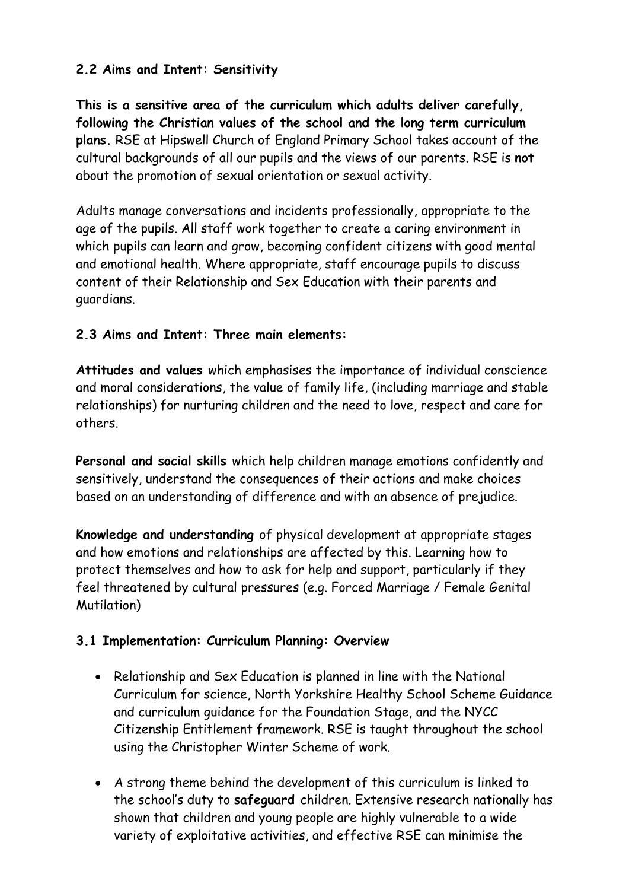### **2.2 Aims and Intent: Sensitivity**

**This is a sensitive area of the curriculum which adults deliver carefully, following the Christian values of the school and the long term curriculum plans.** RSE at Hipswell Church of England Primary School takes account of the cultural backgrounds of all our pupils and the views of our parents. RSE is **not**  about the promotion of sexual orientation or sexual activity.

Adults manage conversations and incidents professionally, appropriate to the age of the pupils. All staff work together to create a caring environment in which pupils can learn and grow, becoming confident citizens with good mental and emotional health. Where appropriate, staff encourage pupils to discuss content of their Relationship and Sex Education with their parents and guardians.

### **2.3 Aims and Intent: Three main elements:**

**Attitudes and values** which emphasises the importance of individual conscience and moral considerations, the value of family life, (including marriage and stable relationships) for nurturing children and the need to love, respect and care for others.

**Personal and social skills** which help children manage emotions confidently and sensitively, understand the consequences of their actions and make choices based on an understanding of difference and with an absence of prejudice.

**Knowledge and understanding** of physical development at appropriate stages and how emotions and relationships are affected by this. Learning how to protect themselves and how to ask for help and support, particularly if they feel threatened by cultural pressures (e.g. Forced Marriage / Female Genital Mutilation)

#### **3.1 Implementation: Curriculum Planning: Overview**

- Relationship and Sex Education is planned in line with the National Curriculum for science, North Yorkshire Healthy School Scheme Guidance and curriculum guidance for the Foundation Stage, and the NYCC Citizenship Entitlement framework. RSE is taught throughout the school using the Christopher Winter Scheme of work.
- A strong theme behind the development of this curriculum is linked to the school's duty to **safeguard** children. Extensive research nationally has shown that children and young people are highly vulnerable to a wide variety of exploitative activities, and effective RSE can minimise the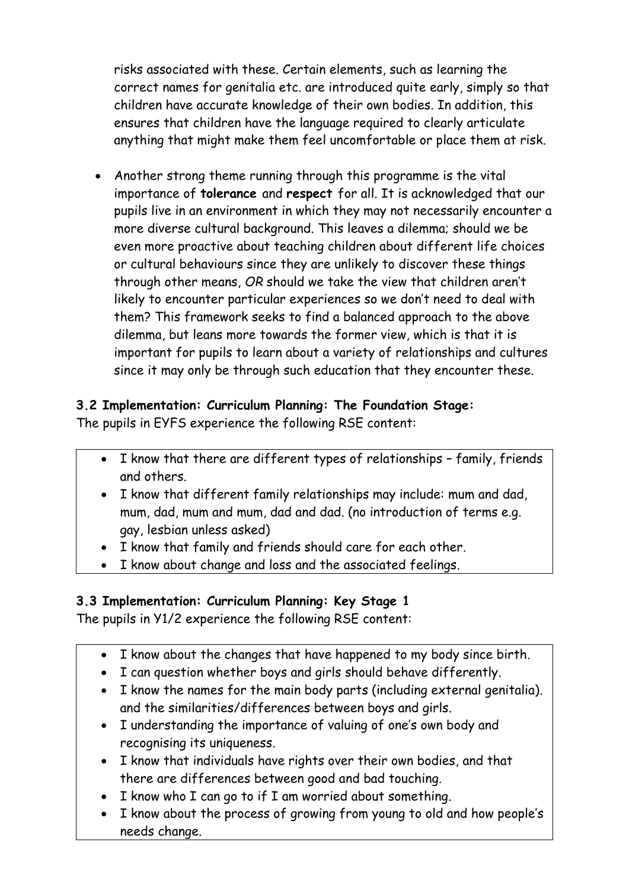risks associated with these. Certain elements, such as learning the correct names for genitalia etc. are introduced quite early, simply so that children have accurate knowledge of their own bodies. In addition, this ensures that children have the language required to clearly articulate anything that might make them feel uncomfortable or place them at risk.

• Another strong theme running through this programme is the vital importance of **tolerance** and **respect** for all. It is acknowledged that our pupils live in an environment in which they may not necessarily encounter a more diverse cultural background. This leaves a dilemma; should we be even more proactive about teaching children about different life choices or cultural behaviours since they are unlikely to discover these things through other means, *OR* should we take the view that children aren't likely to encounter particular experiences so we don't need to deal with them? This framework seeks to find a balanced approach to the above dilemma, but leans more towards the former view, which is that it is important for pupils to learn about a variety of relationships and cultures since it may only be through such education that they encounter these.

#### **3.2 Implementation: Curriculum Planning: The Foundation Stage:** The pupils in EYFS experience the following RSE content:

- I know that there are different types of relationships family, friends and others.
- I know that different family relationships may include: mum and dad, mum, dad, mum and mum, dad and dad. (no introduction of terms e.g. gay, lesbian unless asked)
- I know that family and friends should care for each other.
- I know about change and loss and the associated feelings.

# **3.3 Implementation: Curriculum Planning: Key Stage 1**

The pupils in Y1/2 experience the following RSE content:

- I know about the changes that have happened to my body since birth.
- I can question whether boys and girls should behave differently.
- I know the names for the main body parts (including external genitalia). and the similarities/differences between boys and girls.
- I understanding the importance of valuing of one's own body and recognising its uniqueness.
- I know that individuals have rights over their own bodies, and that there are differences between good and bad touching.
- I know who I can go to if I am worried about something.
- I know about the process of growing from young to old and how people's needs change.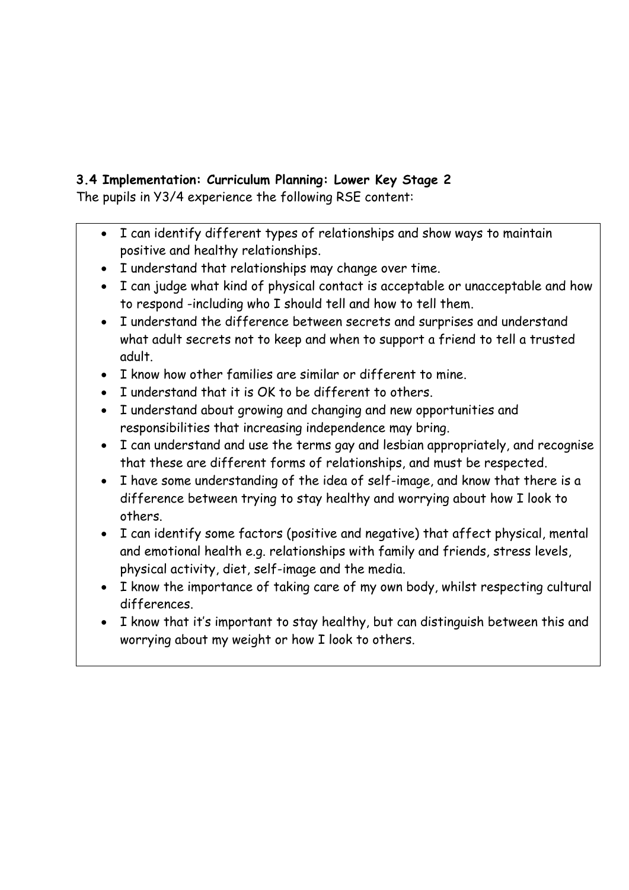# **3.4 Implementation: Curriculum Planning: Lower Key Stage 2**

The pupils in Y3/4 experience the following RSE content:

- I can identify different types of relationships and show ways to maintain positive and healthy relationships.
- I understand that relationships may change over time.
- I can judge what kind of physical contact is acceptable or unacceptable and how to respond -including who I should tell and how to tell them.
- I understand the difference between secrets and surprises and understand what adult secrets not to keep and when to support a friend to tell a trusted adult.
- I know how other families are similar or different to mine.
- I understand that it is OK to be different to others.
- I understand about growing and changing and new opportunities and responsibilities that increasing independence may bring.
- I can understand and use the terms gay and lesbian appropriately, and recognise that these are different forms of relationships, and must be respected.
- I have some understanding of the idea of self-image, and know that there is a difference between trying to stay healthy and worrying about how I look to others.
- I can identify some factors (positive and negative) that affect physical, mental and emotional health e.g. relationships with family and friends, stress levels, physical activity, diet, self-image and the media.
- I know the importance of taking care of my own body, whilst respecting cultural differences.
- I know that it's important to stay healthy, but can distinguish between this and worrying about my weight or how I look to others.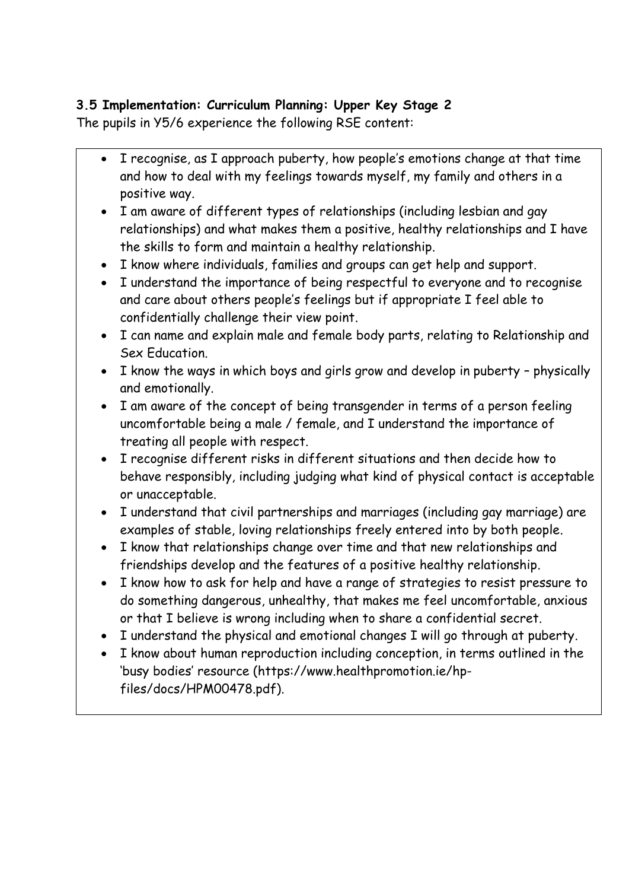# **3.5 Implementation: Curriculum Planning: Upper Key Stage 2**

The pupils in Y5/6 experience the following RSE content:

- I recognise, as I approach puberty, how people's emotions change at that time and how to deal with my feelings towards myself, my family and others in a positive way.
- I am aware of different types of relationships (including lesbian and gay relationships) and what makes them a positive, healthy relationships and I have the skills to form and maintain a healthy relationship.
- I know where individuals, families and groups can get help and support.
- I understand the importance of being respectful to everyone and to recognise and care about others people's feelings but if appropriate I feel able to confidentially challenge their view point.
- I can name and explain male and female body parts, relating to Relationship and Sex Education.
- I know the ways in which boys and girls grow and develop in puberty physically and emotionally.
- I am aware of the concept of being transgender in terms of a person feeling uncomfortable being a male / female, and I understand the importance of treating all people with respect.
- I recognise different risks in different situations and then decide how to behave responsibly, including judging what kind of physical contact is acceptable or unacceptable.
- I understand that civil partnerships and marriages (including gay marriage) are examples of stable, loving relationships freely entered into by both people.
- I know that relationships change over time and that new relationships and friendships develop and the features of a positive healthy relationship.
- I know how to ask for help and have a range of strategies to resist pressure to do something dangerous, unhealthy, that makes me feel uncomfortable, anxious or that I believe is wrong including when to share a confidential secret.
- I understand the physical and emotional changes I will go through at puberty.
- I know about human reproduction including conception, in terms outlined in the 'busy bodies' resource (https://www.healthpromotion.ie/hpfiles/docs/HPM00478.pdf).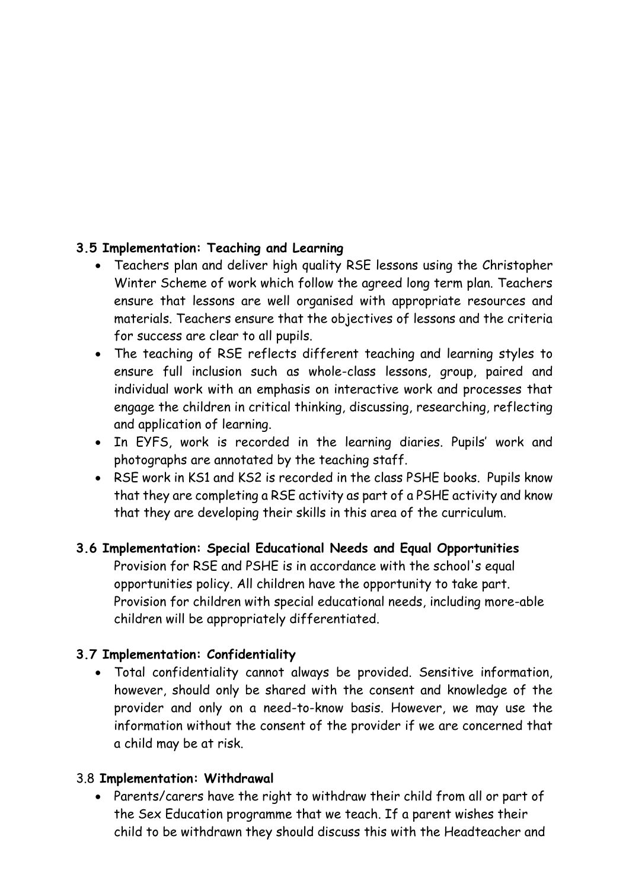### **3.5 Implementation: Teaching and Learning**

- Teachers plan and deliver high quality RSE lessons using the Christopher Winter Scheme of work which follow the agreed long term plan. Teachers ensure that lessons are well organised with appropriate resources and materials. Teachers ensure that the objectives of lessons and the criteria for success are clear to all pupils.
- The teaching of RSE reflects different teaching and learning styles to ensure full inclusion such as whole-class lessons, group, paired and individual work with an emphasis on interactive work and processes that engage the children in critical thinking, discussing, researching, reflecting and application of learning.
- In EYFS, work is recorded in the learning diaries. Pupils' work and photographs are annotated by the teaching staff.
- RSE work in KS1 and KS2 is recorded in the class PSHE books. Pupils know that they are completing a RSE activity as part of a PSHE activity and know that they are developing their skills in this area of the curriculum.

#### **3.6 Implementation: Special Educational Needs and Equal Opportunities**

Provision for RSE and PSHE is in accordance with the school's equal opportunities policy. All children have the opportunity to take part. Provision for children with special educational needs, including more-able children will be appropriately differentiated.

#### **3.7 Implementation: Confidentiality**

• Total confidentiality cannot always be provided. Sensitive information, however, should only be shared with the consent and knowledge of the provider and only on a need-to-know basis. However, we may use the information without the consent of the provider if we are concerned that a child may be at risk.

#### 3.8 **Implementation: Withdrawal**

• Parents/carers have the right to withdraw their child from all or part of the Sex Education programme that we teach. If a parent wishes their child to be withdrawn they should discuss this with the Headteacher and